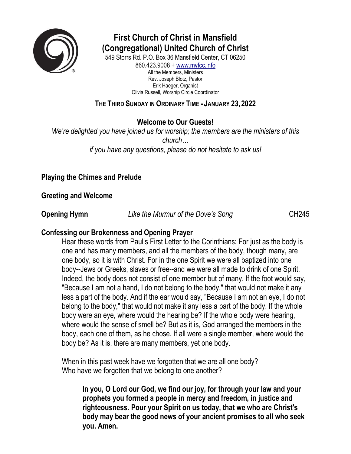

# **First Church of Christ in Mansfield (Congregational) United Church of Christ**

549 Storrs Rd. P.O. Box 36 Mansfield Center, CT 06250 860.423.9008 + [www.myfcc.info](http://www.myfcc.info/) All the Members, Ministers Rev. Joseph Blotz, Pastor Erik Haeger, Organist Olivia Russell, Worship Circle Coordinator

## **THE THIRD SUNDAY IN ORDINARY TIME - JANUARY 23, 2022**

# **Welcome to Our Guests!**

*We're delighted you have joined us for worship; the members are the ministers of this church… if you have any questions, please do not hesitate to ask us!*

# **Playing the Chimes and Prelude**

**Greeting and Welcome**

**Opening Hymn** *Like the Murmur of the Dove's Song* CH245

### **Confessing our Brokenness and Opening Prayer**

Hear these words from Paul's First Letter to the Corinthians: For just as the body is one and has many members, and all the members of the body, though many, are one body, so it is with Christ. For in the one Spirit we were all baptized into one body--Jews or Greeks, slaves or free--and we were all made to drink of one Spirit. Indeed, the body does not consist of one member but of many. If the foot would say, "Because I am not a hand, I do not belong to the body," that would not make it any less a part of the body. And if the ear would say, "Because I am not an eye, I do not belong to the body," that would not make it any less a part of the body. If the whole body were an eye, where would the hearing be? If the whole body were hearing, where would the sense of smell be? But as it is, God arranged the members in the body, each one of them, as he chose. If all were a single member, where would the body be? As it is, there are many members, yet one body.

When in this past week have we forgotten that we are all one body? Who have we forgotten that we belong to one another?

> **In you, O Lord our God, we find our joy, for through your law and your prophets you formed a people in mercy and freedom, in justice and righteousness. Pour your Spirit on us today, that we who are Christ's body may bear the good news of your ancient promises to all who seek you. Amen.**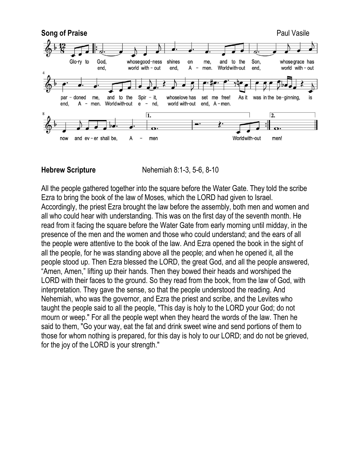

**Hebrew Scripture** Nehemiah 8:1-3, 5-6, 8-10

All the people gathered together into the square before the Water Gate. They told the scribe Ezra to bring the book of the law of Moses, which the LORD had given to Israel. Accordingly, the priest Ezra brought the law before the assembly, both men and women and all who could hear with understanding. This was on the first day of the seventh month. He read from it facing the square before the Water Gate from early morning until midday, in the presence of the men and the women and those who could understand; and the ears of all the people were attentive to the book of the law. And Ezra opened the book in the sight of all the people, for he was standing above all the people; and when he opened it, all the people stood up. Then Ezra blessed the LORD, the great God, and all the people answered, "Amen, Amen," lifting up their hands. Then they bowed their heads and worshiped the LORD with their faces to the ground. So they read from the book, from the law of God, with interpretation. They gave the sense, so that the people understood the reading. And Nehemiah, who was the governor, and Ezra the priest and scribe, and the Levites who taught the people said to all the people, "This day is holy to the LORD your God; do not mourn or weep." For all the people wept when they heard the words of the law. Then he said to them, "Go your way, eat the fat and drink sweet wine and send portions of them to those for whom nothing is prepared, for this day is holy to our LORD; and do not be grieved, for the joy of the LORD is your strength."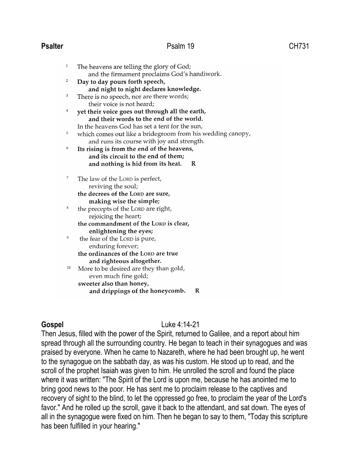### **Psalter** CH731

| 1  | The heavens are telling the glory of God;                 |
|----|-----------------------------------------------------------|
|    | and the firmament proclaims God's handiwork.              |
| 2  | Day to day pours forth speech,                            |
|    | and night to night declares knowledge.                    |
| 3  | There is no speech, nor are there words;                  |
|    | their voice is not heard;                                 |
| 4  | yet their voice goes out through all the earth,           |
|    | and their words to the end of the world.                  |
|    | In the heavens God has set a tent for the sun,            |
| 5  | which comes out like a bridegroom from his wedding canopy |
|    | and runs its course with joy and strength.                |
| 6  | Its rising is from the end of the heavens,                |
|    | and its circuit to the end of them;                       |
|    | and nothing is hid from its heat.<br>R                    |
| 7  | The law of the LORD is perfect,                           |
|    | reviving the soul;                                        |
|    | the decrees of the LORD are sure,                         |
|    | making wise the simple;                                   |
| 8  | the precepts of the LORD are right,                       |
|    | rejoicing the heart;                                      |
|    | the commandment of the LORD is clear,                     |
|    | enlightening the eyes;                                    |
| 9  | the fear of the LORD is pure,                             |
|    | enduring forever;                                         |
|    | the ordinances of the LORD are true                       |
|    | and righteous altogether.                                 |
| 10 | More to be desired are they than gold,                    |
|    | even much fine gold;                                      |
|    | sweeter also than honey,                                  |
|    | and drippings of the honeycomb.<br>R                      |

**Gospel** Luke 4:14-21

Then Jesus, filled with the power of the Spirit, returned to Galilee, and a report about him spread through all the surrounding country. He began to teach in their synagogues and was praised by everyone. When he came to Nazareth, where he had been brought up, he went to the synagogue on the sabbath day, as was his custom. He stood up to read, and the scroll of the prophet Isaiah was given to him. He unrolled the scroll and found the place where it was written: "The Spirit of the Lord is upon me, because he has anointed me to bring good news to the poor. He has sent me to proclaim release to the captives and recovery of sight to the blind, to let the oppressed go free, to proclaim the year of the Lord's favor." And he rolled up the scroll, gave it back to the attendant, and sat down. The eyes of all in the synagogue were fixed on him. Then he began to say to them, "Today this scripture has been fulfilled in your hearing."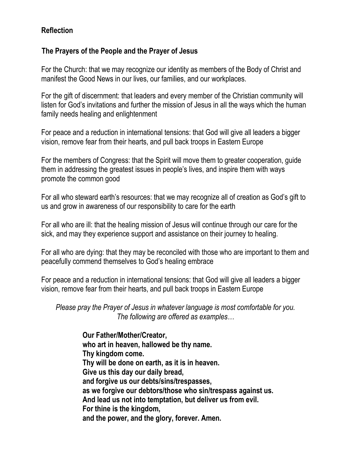# **Reflection**

## **The Prayers of the People and the Prayer of Jesus**

For the Church: that we may recognize our identity as members of the Body of Christ and manifest the Good News in our lives, our families, and our workplaces.

For the gift of discernment: that leaders and every member of the Christian community will listen for God's invitations and further the mission of Jesus in all the ways which the human family needs healing and enlightenment

For peace and a reduction in international tensions: that God will give all leaders a bigger vision, remove fear from their hearts, and pull back troops in Eastern Europe

For the members of Congress: that the Spirit will move them to greater cooperation, guide them in addressing the greatest issues in people's lives, and inspire them with ways promote the common good

For all who steward earth's resources: that we may recognize all of creation as God's gift to us and grow in awareness of our responsibility to care for the earth

For all who are ill: that the healing mission of Jesus will continue through our care for the sick, and may they experience support and assistance on their journey to healing.

For all who are dying: that they may be reconciled with those who are important to them and peacefully commend themselves to God's healing embrace

For peace and a reduction in international tensions: that God will give all leaders a bigger vision, remove fear from their hearts, and pull back troops in Eastern Europe

*Please pray the Prayer of Jesus in whatever language is most comfortable for you. The following are offered as examples…*

> **Our Father/Mother/Creator, who art in heaven, hallowed be thy name. Thy kingdom come. Thy will be done on earth, as it is in heaven. Give us this day our daily bread, and forgive us our debts/sins/trespasses, as we forgive our debtors/those who sin/trespass against us. And lead us not into temptation, but deliver us from evil. For thine is the kingdom, and the power, and the glory, forever. Amen.**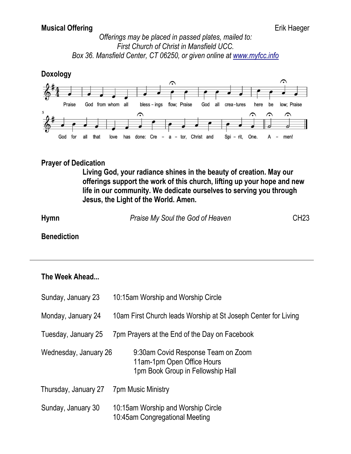### **Musical Offering** Erik Haeger

### *Offerings may be placed in passed plates, mailed to: First Church of Christ in Mansfield UCC. Box 36. Mansfield Center, CT 06250, or given online at [www.myfcc.info](http://www.myfcc.info/)*



### **Prayer of Dedication**

**Living God, your radiance shines in the beauty of creation. May our offerings support the work of this church, lifting up your hope and new life in our community. We dedicate ourselves to serving you through Jesus, the Light of the World. Amen.**

| Hymn | Praise My Soul the God of Heaven | <b>CH23</b> |
|------|----------------------------------|-------------|
|      |                                  |             |

**Benediction**

### **The Week Ahead...**

| Sunday, January 23    | 10:15am Worship and Worship Circle                                                                    |
|-----------------------|-------------------------------------------------------------------------------------------------------|
| Monday, January 24    | 10am First Church leads Worship at St Joseph Center for Living                                        |
| Tuesday, January 25   | 7pm Prayers at the End of the Day on Facebook                                                         |
| Wednesday, January 26 | 9:30am Covid Response Team on Zoom<br>11am-1pm Open Office Hours<br>1pm Book Group in Fellowship Hall |
| Thursday, January 27  | <b>7pm Music Ministry</b>                                                                             |
| Sunday, January 30    | 10:15am Worship and Worship Circle<br>10:45am Congregational Meeting                                  |